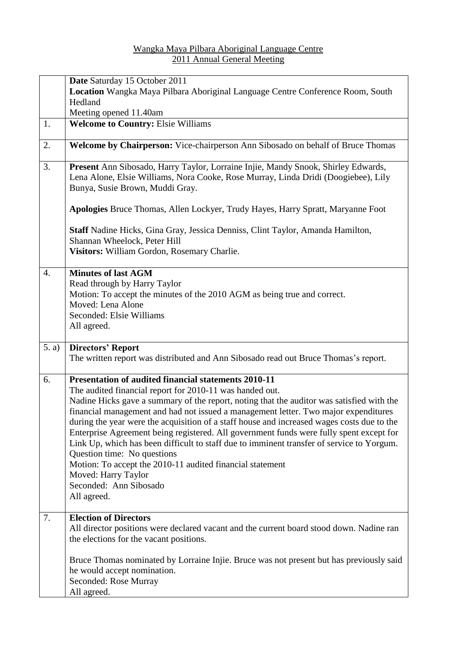## Wangka Maya Pilbara Aboriginal Language Centre 2011 Annual General Meeting

|       | Date Saturday 15 October 2011                                                                                                                                                                                                                                                                                                                                                                                                                                                                                                                                                                                       |
|-------|---------------------------------------------------------------------------------------------------------------------------------------------------------------------------------------------------------------------------------------------------------------------------------------------------------------------------------------------------------------------------------------------------------------------------------------------------------------------------------------------------------------------------------------------------------------------------------------------------------------------|
|       | Location Wangka Maya Pilbara Aboriginal Language Centre Conference Room, South                                                                                                                                                                                                                                                                                                                                                                                                                                                                                                                                      |
|       | Hedland                                                                                                                                                                                                                                                                                                                                                                                                                                                                                                                                                                                                             |
|       | Meeting opened 11.40am                                                                                                                                                                                                                                                                                                                                                                                                                                                                                                                                                                                              |
| 1.    | <b>Welcome to Country: Elsie Williams</b>                                                                                                                                                                                                                                                                                                                                                                                                                                                                                                                                                                           |
| 2.    | Welcome by Chairperson: Vice-chairperson Ann Sibosado on behalf of Bruce Thomas                                                                                                                                                                                                                                                                                                                                                                                                                                                                                                                                     |
| 3.    | Present Ann Sibosado, Harry Taylor, Lorraine Injie, Mandy Snook, Shirley Edwards,<br>Lena Alone, Elsie Williams, Nora Cooke, Rose Murray, Linda Dridi (Doogiebee), Lily<br>Bunya, Susie Brown, Muddi Gray.                                                                                                                                                                                                                                                                                                                                                                                                          |
|       | Apologies Bruce Thomas, Allen Lockyer, Trudy Hayes, Harry Spratt, Maryanne Foot                                                                                                                                                                                                                                                                                                                                                                                                                                                                                                                                     |
|       | Staff Nadine Hicks, Gina Gray, Jessica Denniss, Clint Taylor, Amanda Hamilton,<br>Shannan Wheelock, Peter Hill<br>Visitors: William Gordon, Rosemary Charlie.                                                                                                                                                                                                                                                                                                                                                                                                                                                       |
|       |                                                                                                                                                                                                                                                                                                                                                                                                                                                                                                                                                                                                                     |
| 4.    | <b>Minutes of last AGM</b><br>Read through by Harry Taylor<br>Motion: To accept the minutes of the 2010 AGM as being true and correct.<br>Moved: Lena Alone<br>Seconded: Elsie Williams<br>All agreed.                                                                                                                                                                                                                                                                                                                                                                                                              |
| 5. a) | <b>Directors' Report</b>                                                                                                                                                                                                                                                                                                                                                                                                                                                                                                                                                                                            |
|       | The written report was distributed and Ann Sibosado read out Bruce Thomas's report.                                                                                                                                                                                                                                                                                                                                                                                                                                                                                                                                 |
| 6.    | <b>Presentation of audited financial statements 2010-11</b><br>The audited financial report for 2010-11 was handed out.                                                                                                                                                                                                                                                                                                                                                                                                                                                                                             |
|       | Nadine Hicks gave a summary of the report, noting that the auditor was satisfied with the<br>financial management and had not issued a management letter. Two major expenditures<br>during the year were the acquisition of a staff house and increased wages costs due to the<br>Enterprise Agreement being registered. All government funds were fully spent except for<br>Link Up, which has been difficult to staff due to imminent transfer of service to Yorgum.<br>Question time: No questions<br>Motion: To accept the 2010-11 audited financial statement<br>Moved: Harry Taylor<br>Seconded: Ann Sibosado |
|       | All agreed.                                                                                                                                                                                                                                                                                                                                                                                                                                                                                                                                                                                                         |
|       |                                                                                                                                                                                                                                                                                                                                                                                                                                                                                                                                                                                                                     |
| 7.    | <b>Election of Directors</b><br>All director positions were declared vacant and the current board stood down. Nadine ran<br>the elections for the vacant positions.                                                                                                                                                                                                                                                                                                                                                                                                                                                 |
|       | Bruce Thomas nominated by Lorraine Injie. Bruce was not present but has previously said<br>he would accept nomination.<br>Seconded: Rose Murray<br>All agreed.                                                                                                                                                                                                                                                                                                                                                                                                                                                      |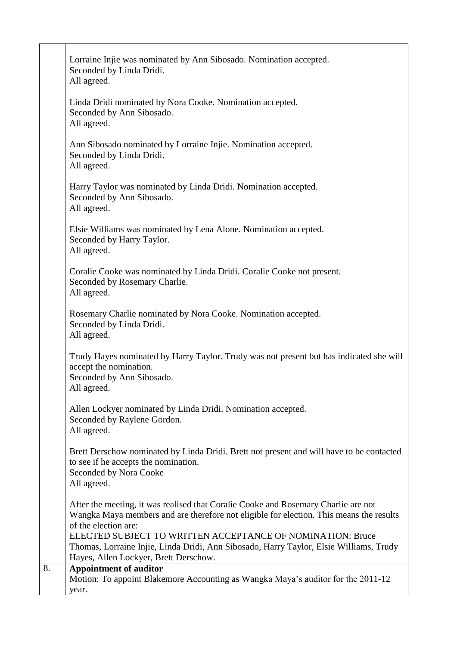|    | Lorraine Injie was nominated by Ann Sibosado. Nomination accepted.<br>Seconded by Linda Dridi.<br>All agreed.                                                                                         |
|----|-------------------------------------------------------------------------------------------------------------------------------------------------------------------------------------------------------|
|    | Linda Dridi nominated by Nora Cooke. Nomination accepted.<br>Seconded by Ann Sibosado.<br>All agreed.                                                                                                 |
|    | Ann Sibosado nominated by Lorraine Injie. Nomination accepted.<br>Seconded by Linda Dridi.<br>All agreed.                                                                                             |
|    | Harry Taylor was nominated by Linda Dridi. Nomination accepted.<br>Seconded by Ann Sibosado.<br>All agreed.                                                                                           |
|    | Elsie Williams was nominated by Lena Alone. Nomination accepted.<br>Seconded by Harry Taylor.<br>All agreed.                                                                                          |
|    | Coralie Cooke was nominated by Linda Dridi. Coralie Cooke not present.<br>Seconded by Rosemary Charlie.<br>All agreed.                                                                                |
|    | Rosemary Charlie nominated by Nora Cooke. Nomination accepted.<br>Seconded by Linda Dridi.<br>All agreed.                                                                                             |
|    | Trudy Hayes nominated by Harry Taylor. Trudy was not present but has indicated she will<br>accept the nomination.<br>Seconded by Ann Sibosado.<br>All agreed.                                         |
|    | Allen Lockyer nominated by Linda Dridi. Nomination accepted.<br>Seconded by Raylene Gordon.<br>All agreed.                                                                                            |
|    | Brett Derschow nominated by Linda Dridi. Brett not present and will have to be contacted<br>to see if he accepts the nomination.<br>Seconded by Nora Cooke<br>All agreed.                             |
|    | After the meeting, it was realised that Coralie Cooke and Rosemary Charlie are not<br>Wangka Maya members and are therefore not eligible for election. This means the results<br>of the election are: |
|    | ELECTED SUBJECT TO WRITTEN ACCEPTANCE OF NOMINATION: Bruce<br>Thomas, Lorraine Injie, Linda Dridi, Ann Sibosado, Harry Taylor, Elsie Williams, Trudy<br>Hayes, Allen Lockyer, Brett Derschow.         |
| 8. | <b>Appointment of auditor</b><br>Motion: To appoint Blakemore Accounting as Wangka Maya's auditor for the 2011-12<br>year.                                                                            |